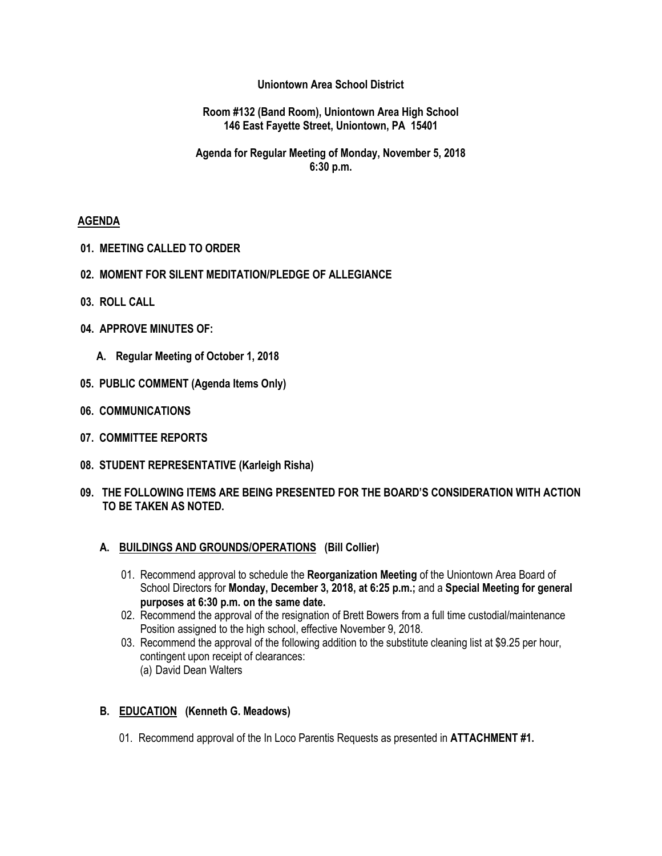### **Uniontown Area School District**

### **Room #132 (Band Room), Uniontown Area High School 146 East Fayette Street, Uniontown, PA 15401**

## **Agenda for Regular Meeting of Monday, November 5, 2018 6:30 p.m.**

### **AGENDA**

- **01. MEETING CALLED TO ORDER**
- **02. MOMENT FOR SILENT MEDITATION/PLEDGE OF ALLEGIANCE**
- **03. ROLL CALL**
- **04. APPROVE MINUTES OF:**
	- **A. Regular Meeting of October 1, 2018**
- **05. PUBLIC COMMENT (Agenda Items Only)**
- **06. COMMUNICATIONS**
- **07. COMMITTEE REPORTS**
- **08. STUDENT REPRESENTATIVE (Karleigh Risha)**
- **09. THE FOLLOWING ITEMS ARE BEING PRESENTED FOR THE BOARD'S CONSIDERATION WITH ACTION TO BE TAKEN AS NOTED.**

#### **A. BUILDINGS AND GROUNDS/OPERATIONS (Bill Collier)**

- 01. Recommend approval to schedule the **Reorganization Meeting** of the Uniontown Area Board of School Directors for **Monday, December 3, 2018, at 6:25 p.m.;** and a **Special Meeting for general purposes at 6:30 p.m. on the same date.**
- 02. Recommend the approval of the resignation of Brett Bowers from a full time custodial/maintenance Position assigned to the high school, effective November 9, 2018.
- 03. Recommend the approval of the following addition to the substitute cleaning list at \$9.25 per hour, contingent upon receipt of clearances:
	- (a) David Dean Walters

## **B. EDUCATION (Kenneth G. Meadows)**

01. Recommend approval of the In Loco Parentis Requests as presented in **ATTACHMENT #1.**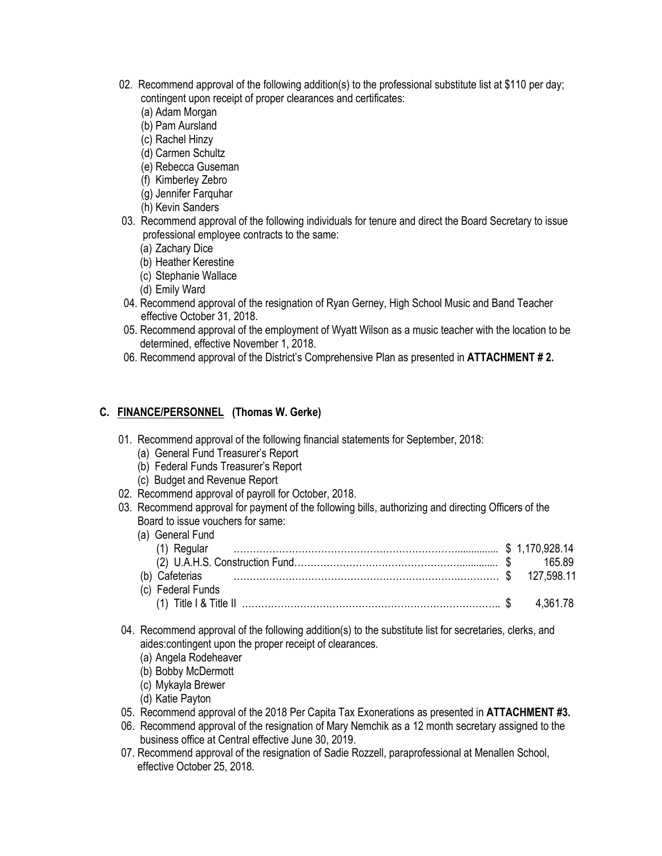- 02. Recommend approval of the following addition(s) to the professional substitute list at \$110 per day; contingent upon receipt of proper clearances and certificates:
	- (a) Adam Morgan
	- (b) Pam Aursland
	- (c) Rachel Hinzy
	- (d) Carmen Schultz
	- (e) Rebecca Guseman
	- (f) Kimberley Zebro
	- (g) Jennifer Farquhar
	- (h) Kevin Sanders
- 03. Recommend approval of the following individuals for tenure and direct the Board Secretary to issue professional employee contracts to the same:
	- (a) Zachary Dice
	- (b) Heather Kerestine
	- (c) Stephanie Wallace
	- (d) Emily Ward
- 04. Recommend approval of the resignation of Ryan Gerney, High School Music and Band Teacher effective October 31, 2018.
- 05. Recommend approval of the employment of Wyatt Wilson as a music teacher with the location to be determined, effective November 1, 2018.
- 06. Recommend approval of the District's Comprehensive Plan as presented in **ATTACHMENT # 2.**

## **C. FINANCE/PERSONNEL (Thomas W. Gerke)**

- 01. Recommend approval of the following financial statements for September, 2018:
	- (a) General Fund Treasurer's Report
	- (b) Federal Funds Treasurer's Report
	- (c) Budget and Revenue Report
- 02. Recommend approval of payroll for October, 2018.
- 03. Recommend approval for payment of the following bills, authorizing and directing Officers of the Board to issue vouchers for same:

| (a) General Fund         |          |
|--------------------------|----------|
|                          |          |
|                          |          |
| (b) Cafeterias 27,598.11 |          |
| (c) Federal Funds        |          |
|                          | 4 361 78 |

- 04. Recommend approval of the following addition(s) to the substitute list for secretaries, clerks, and aides:contingent upon the proper receipt of clearances.
	- (a) Angela Rodeheaver
	- (b) Bobby McDermott
	- (c) Mykayla Brewer
	- (d) Katie Payton
- 05. Recommend approval of the 2018 Per Capita Tax Exonerations as presented in **ATTACHMENT #3.**
- 06. Recommend approval of the resignation of Mary Nemchik as a 12 month secretary assigned to the business office at Central effective June 30, 2019.
- 07. Recommend approval of the resignation of Sadie Rozzell, paraprofessional at Menallen School, effective October 25, 2018.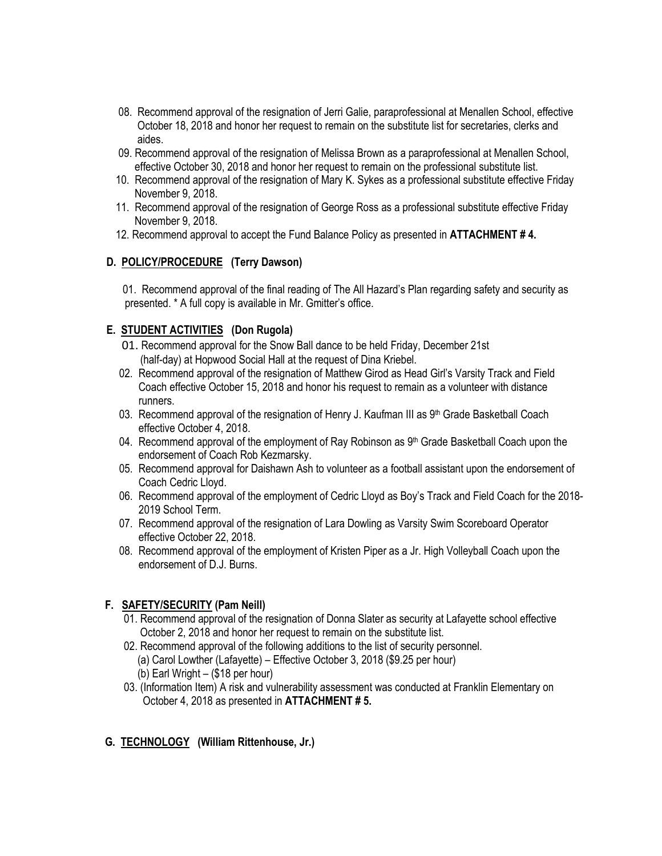- 08. Recommend approval of the resignation of Jerri Galie, paraprofessional at Menallen School, effective October 18, 2018 and honor her request to remain on the substitute list for secretaries, clerks and aides.
- 09. Recommend approval of the resignation of Melissa Brown as a paraprofessional at Menallen School, effective October 30, 2018 and honor her request to remain on the professional substitute list.
- 10. Recommend approval of the resignation of Mary K. Sykes as a professional substitute effective Friday November 9, 2018.
- 11. Recommend approval of the resignation of George Ross as a professional substitute effective Friday November 9, 2018.
- 12. Recommend approval to accept the Fund Balance Policy as presented in **ATTACHMENT # 4.**

# **D. POLICY/PROCEDURE (Terry Dawson)**

01. Recommend approval of the final reading of The All Hazard's Plan regarding safety and security as presented. \* A full copy is available in Mr. Gmitter's office.

# **E. STUDENT ACTIVITIES (Don Rugola)**

- 01. Recommend approval for the Snow Ball dance to be held Friday, December 21st (half-day) at Hopwood Social Hall at the request of Dina Kriebel.
- 02. Recommend approval of the resignation of Matthew Girod as Head Girl's Varsity Track and Field Coach effective October 15, 2018 and honor his request to remain as a volunteer with distance runners.
- 03. Recommend approval of the resignation of Henry J. Kaufman III as  $9<sup>th</sup>$  Grade Basketball Coach effective October 4, 2018.
- 04. Recommend approval of the employment of Ray Robinson as 9<sup>th</sup> Grade Basketball Coach upon the endorsement of Coach Rob Kezmarsky.
- 05. Recommend approval for Daishawn Ash to volunteer as a football assistant upon the endorsement of Coach Cedric Lloyd.
- 06. Recommend approval of the employment of Cedric Lloyd as Boy's Track and Field Coach for the 2018- 2019 School Term.
- 07. Recommend approval of the resignation of Lara Dowling as Varsity Swim Scoreboard Operator effective October 22, 2018.
- 08. Recommend approval of the employment of Kristen Piper as a Jr. High Volleyball Coach upon the endorsement of D.J. Burns.

## **F. SAFETY/SECURITY (Pam Neill)**

- 01. Recommend approval of the resignation of Donna Slater as security at Lafayette school effective October 2, 2018 and honor her request to remain on the substitute list.
- 02. Recommend approval of the following additions to the list of security personnel.
	- (a) Carol Lowther (Lafayette) Effective October 3, 2018 (\$9.25 per hour)
	- (b) Earl Wright (\$18 per hour)
- 03. (Information Item) A risk and vulnerability assessment was conducted at Franklin Elementary on October 4, 2018 as presented in **ATTACHMENT # 5.**

## **G. TECHNOLOGY (William Rittenhouse, Jr.)**